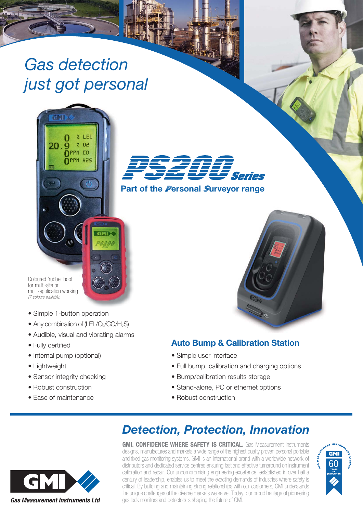## Gas detection just got personal

**IFI**  $0<sup>2</sup>$ 

 $\gamma$  $\overline{0}$ PPM CO OPPM H2S

GMI

**g** 



**Part of the ersonal urveyor range**

Coloured 'rubber boot' for multi-site or multi-application working (7 colours available)

- Simple 1-button operation
- Any combination of (LEL/O<sub>2</sub>/CO/H<sub>2</sub>S)
- Audible, visual and vibrating alarms
- Fully certified
- Internal pump (optional)
- Lightweight
- Sensor integrity checking
- Robust construction
- Ease of maintenance

## **Auto Bump & Calibration Station**

- Simple user interface
- Full bump, calibration and charging options
- Bump/calibration results storage
- Stand-alone, PC or ethernet options
- Robust construction



## **Detection, Protection, Innovation**

**GMI. CONFIDENCE WHERE SAFETY IS CRITICAL.** Gas Measurement Instruments designs, manufactures and markets a wide range of the highest quality proven personal portable and fixed gas monitoring systems. GMI is an international brand with a worldwide network of distributors and dedicated service centres ensuring fast and effective turnaround on instrument calibration and repair. Our uncompromising engineering excellence, established in over half a century of leadership, enables us to meet the exacting demands of industries where safety is critical. By building and maintaining strong relationships with our customers, GMI understands the unique challenges of the diverse markets we serve. Today, our proud heritage of pioneering gas leak monitors and detectors is shaping the future of GMI.

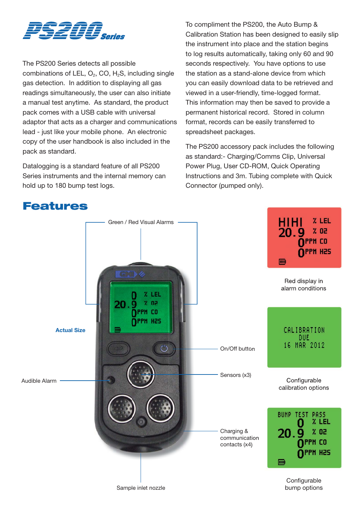

The PS200 Series detects all possible combinations of LEL,  $O_2$ , CO, H<sub>2</sub>S, including single gas detection. In addition to displaying all gas readings simultaneously, the user can also initiate a manual test anytime. As standard, the product pack comes with a USB cable with universal adaptor that acts as a charger and communications lead - just like your mobile phone. An electronic copy of the user handbook is also included in the pack as standard.

Datalogging is a standard feature of all PS200 Series instruments and the internal memory can hold up to 180 bump test logs.

To compliment the PS200, the Auto Bump & Calibration Station has been designed to easily slip the instrument into place and the station begins to log results automatically, taking only 60 and 90 seconds respectively. You have options to use the station as a stand-alone device from which you can easily download data to be retrieved and viewed in a user-friendly, time-logged format. This information may then be saved to provide a permanent historical record. Stored in column format, records can be easily transferred to spreadsheet packages.

The PS200 accessory pack includes the following as standard:- Charging/Comms Clip, Universal Power Plug, User CD-ROM, Quick Operating Instructions and 3m. Tubing complete with Quick Connector (pumped only).



**Features**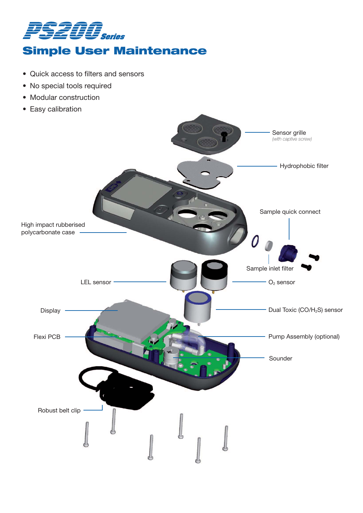

## **Simple User Maintenance**

- Quick access to filters and sensors
- No special tools required
- Modular construction
- Easy calibration